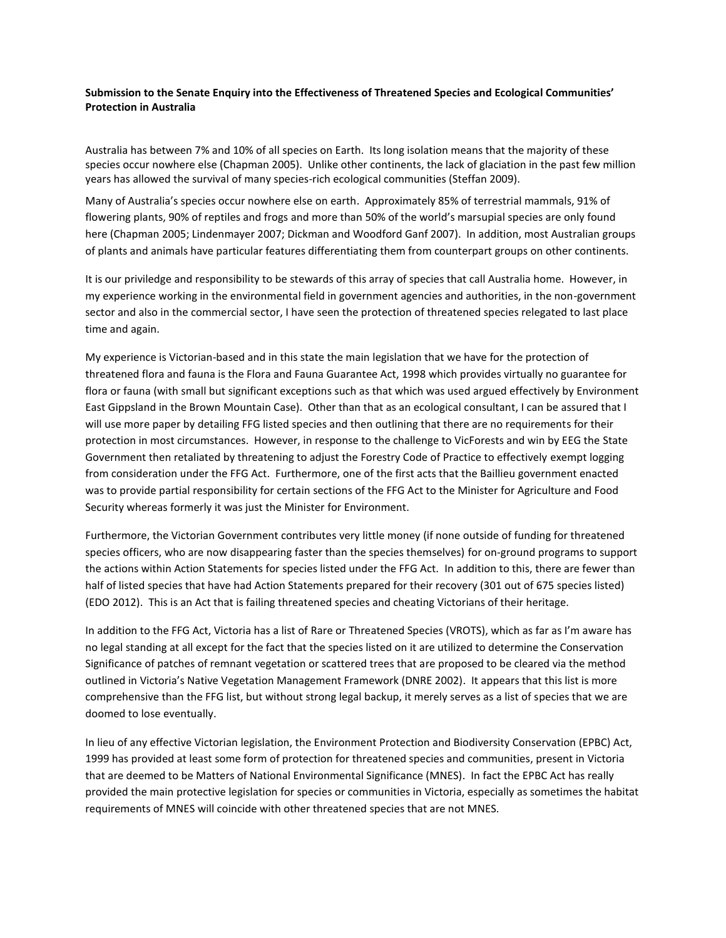## **Submission to the Senate Enquiry into the Effectiveness of Threatened Species and Ecological Communities' Protection in Australia**

Australia has between 7% and 10% of all species on Earth. Its long isolation means that the majority of these species occur nowhere else (Chapman 2005). Unlike other continents, the lack of glaciation in the past few million years has allowed the survival of many species-rich ecological communities (Steffan 2009).

Many of Australia's species occur nowhere else on earth. Approximately 85% of terrestrial mammals, 91% of flowering plants, 90% of reptiles and frogs and more than 50% of the world's marsupial species are only found here (Chapman 2005; Lindenmayer 2007; Dickman and Woodford Ganf 2007). In addition, most Australian groups of plants and animals have particular features differentiating them from counterpart groups on other continents.

It is our priviledge and responsibility to be stewards of this array of species that call Australia home. However, in my experience working in the environmental field in government agencies and authorities, in the non-government sector and also in the commercial sector, I have seen the protection of threatened species relegated to last place time and again.

My experience is Victorian-based and in this state the main legislation that we have for the protection of threatened flora and fauna is the Flora and Fauna Guarantee Act, 1998 which provides virtually no guarantee for flora or fauna (with small but significant exceptions such as that which was used argued effectively by Environment East Gippsland in the Brown Mountain Case). Other than that as an ecological consultant, I can be assured that I will use more paper by detailing FFG listed species and then outlining that there are no requirements for their protection in most circumstances. However, in response to the challenge to VicForests and win by EEG the State Government then retaliated by threatening to adjust the Forestry Code of Practice to effectively exempt logging from consideration under the FFG Act. Furthermore, one of the first acts that the Baillieu government enacted was to provide partial responsibility for certain sections of the FFG Act to the Minister for Agriculture and Food Security whereas formerly it was just the Minister for Environment.

Furthermore, the Victorian Government contributes very little money (if none outside of funding for threatened species officers, who are now disappearing faster than the species themselves) for on-ground programs to support the actions within Action Statements for species listed under the FFG Act. In addition to this, there are fewer than half of listed species that have had Action Statements prepared for their recovery (301 out of 675 species listed) (EDO 2012). This is an Act that is failing threatened species and cheating Victorians of their heritage.

In addition to the FFG Act, Victoria has a list of Rare or Threatened Species (VROTS), which as far as I'm aware has no legal standing at all except for the fact that the species listed on it are utilized to determine the Conservation Significance of patches of remnant vegetation or scattered trees that are proposed to be cleared via the method outlined in Victoria's Native Vegetation Management Framework (DNRE 2002). It appears that this list is more comprehensive than the FFG list, but without strong legal backup, it merely serves as a list of species that we are doomed to lose eventually.

In lieu of any effective Victorian legislation, the Environment Protection and Biodiversity Conservation (EPBC) Act, 1999 has provided at least some form of protection for threatened species and communities, present in Victoria that are deemed to be Matters of National Environmental Significance (MNES). In fact the EPBC Act has really provided the main protective legislation for species or communities in Victoria, especially as sometimes the habitat requirements of MNES will coincide with other threatened species that are not MNES.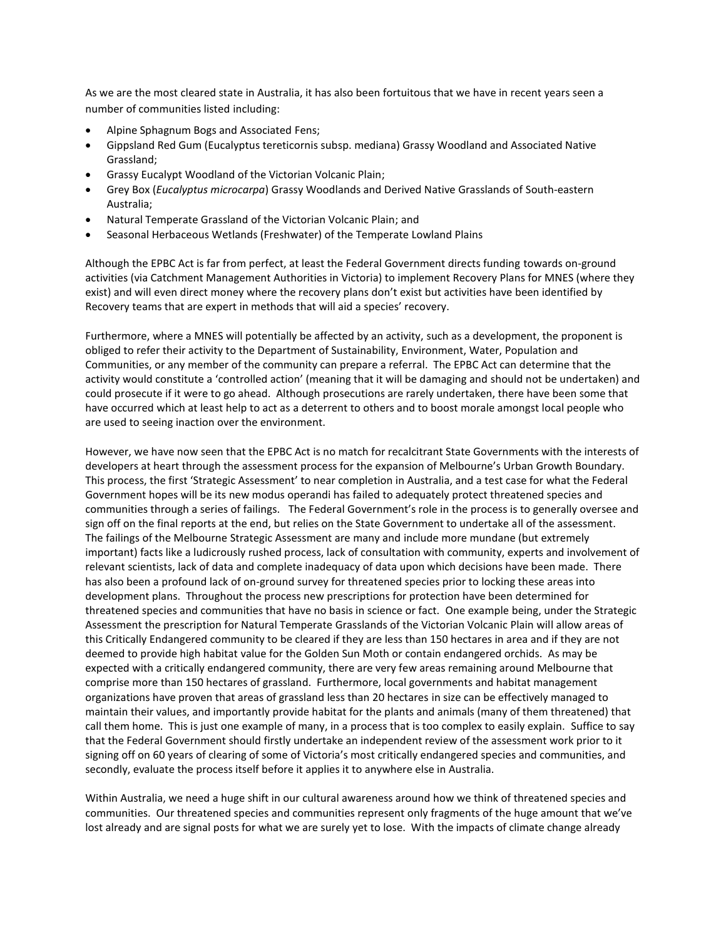As we are the most cleared state in Australia, it has also been fortuitous that we have in recent years seen a number of communities listed including:

- Alpine Sphagnum Bogs and Associated Fens;
- Gippsland Red Gum (Eucalyptus tereticornis subsp. mediana) Grassy Woodland and Associated Native Grassland;
- Grassy Eucalypt Woodland of the Victorian Volcanic Plain;
- Grey Box (*Eucalyptus microcarpa*) Grassy Woodlands and Derived Native Grasslands of South-eastern Australia;
- Natural Temperate Grassland of the Victorian Volcanic Plain; and
- Seasonal Herbaceous Wetlands (Freshwater) of the Temperate Lowland Plains

Although the EPBC Act is far from perfect, at least the Federal Government directs funding towards on-ground activities (via Catchment Management Authorities in Victoria) to implement Recovery Plans for MNES (where they exist) and will even direct money where the recovery plans don't exist but activities have been identified by Recovery teams that are expert in methods that will aid a species' recovery.

Furthermore, where a MNES will potentially be affected by an activity, such as a development, the proponent is obliged to refer their activity to the Department of Sustainability, Environment, Water, Population and Communities, or any member of the community can prepare a referral. The EPBC Act can determine that the activity would constitute a 'controlled action' (meaning that it will be damaging and should not be undertaken) and could prosecute if it were to go ahead. Although prosecutions are rarely undertaken, there have been some that have occurred which at least help to act as a deterrent to others and to boost morale amongst local people who are used to seeing inaction over the environment.

However, we have now seen that the EPBC Act is no match for recalcitrant State Governments with the interests of developers at heart through the assessment process for the expansion of Melbourne's Urban Growth Boundary. This process, the first 'Strategic Assessment' to near completion in Australia, and a test case for what the Federal Government hopes will be its new modus operandi has failed to adequately protect threatened species and communities through a series of failings. The Federal Government's role in the process is to generally oversee and sign off on the final reports at the end, but relies on the State Government to undertake all of the assessment. The failings of the Melbourne Strategic Assessment are many and include more mundane (but extremely important) facts like a ludicrously rushed process, lack of consultation with community, experts and involvement of relevant scientists, lack of data and complete inadequacy of data upon which decisions have been made. There has also been a profound lack of on-ground survey for threatened species prior to locking these areas into development plans. Throughout the process new prescriptions for protection have been determined for threatened species and communities that have no basis in science or fact. One example being, under the Strategic Assessment the prescription for Natural Temperate Grasslands of the Victorian Volcanic Plain will allow areas of this Critically Endangered community to be cleared if they are less than 150 hectares in area and if they are not deemed to provide high habitat value for the Golden Sun Moth or contain endangered orchids. As may be expected with a critically endangered community, there are very few areas remaining around Melbourne that comprise more than 150 hectares of grassland. Furthermore, local governments and habitat management organizations have proven that areas of grassland less than 20 hectares in size can be effectively managed to maintain their values, and importantly provide habitat for the plants and animals (many of them threatened) that call them home. This is just one example of many, in a process that is too complex to easily explain. Suffice to say that the Federal Government should firstly undertake an independent review of the assessment work prior to it signing off on 60 years of clearing of some of Victoria's most critically endangered species and communities, and secondly, evaluate the process itself before it applies it to anywhere else in Australia.

Within Australia, we need a huge shift in our cultural awareness around how we think of threatened species and communities. Our threatened species and communities represent only fragments of the huge amount that we've lost already and are signal posts for what we are surely yet to lose. With the impacts of climate change already